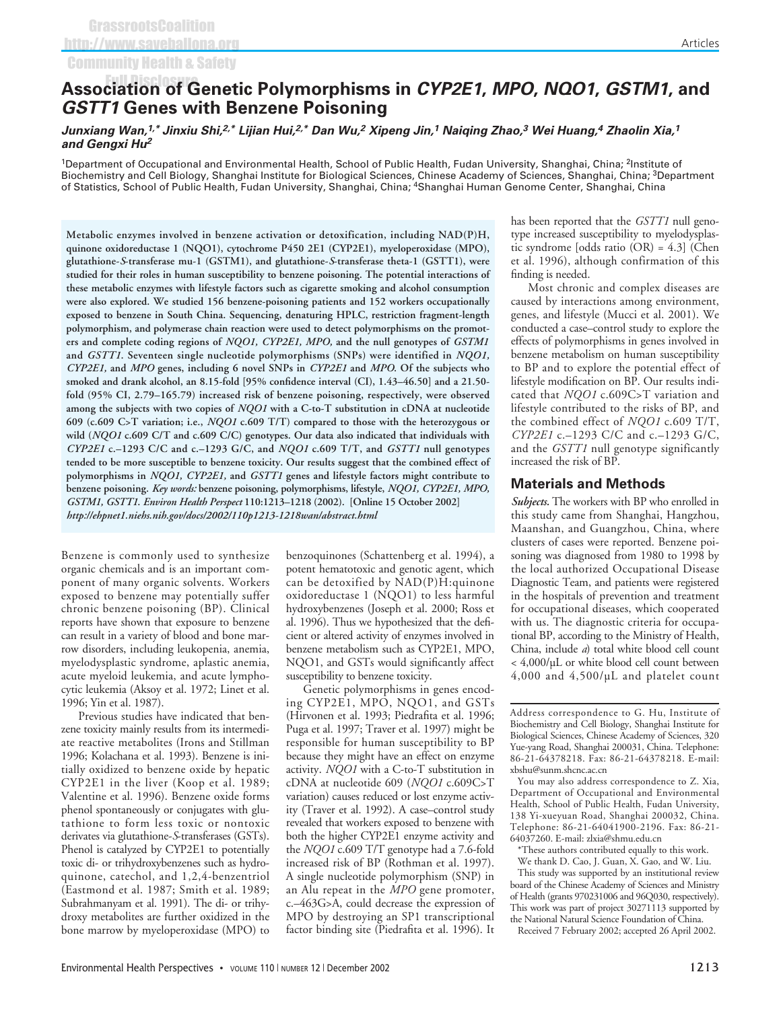# **Association of Genetic Polymorphisms in** *CYP2E1***,** *MPO***,** *NQO1***,** *GSTM1***, and** Full Disclosure*GSTT1* **Genes with Benzene Poisoning**

*Junxiang Wan,1,\* Jinxiu Shi,2,\* Lijian Hui,2,\* Dan Wu,2 Xipeng Jin,<sup>1</sup> Naiqing Zhao,<sup>3</sup> Wei Huang,4 Zhaolin Xia,<sup>1</sup> and Gengxi Hu<sup>2</sup>*

<sup>1</sup>Department of Occupational and Environmental Health, School of Public Health, Fudan University, Shanghai, China; <sup>2</sup>Institute of Biochemistry and Cell Biology, Shanghai Institute for Biological Sciences, Chinese Academy of Sciences, Shanghai, China; <sup>3</sup>Department of Statistics, School of Public Health, Fudan University, Shanghai, China; 4Shanghai Human Genome Center, Shanghai, China

**Metabolic enzymes involved in benzene activation or detoxification, including NAD(P)H, quinone oxidoreductase 1 (NQO1), cytochrome P450 2E1 (CYP2E1), myeloperoxidase (MPO), glutathione-***S***-transferase mu-1 (GSTM1), and glutathione-***S***-transferase theta-1 (GSTT1), were studied for their roles in human susceptibility to benzene poisoning. The potential interactions of these metabolic enzymes with lifestyle factors such as cigarette smoking and alcohol consumption were also explored. We studied 156 benzene-poisoning patients and 152 workers occupationally exposed to benzene in South China. Sequencing, denaturing HPLC, restriction fragment-length polymorphism, and polymerase chain reaction were used to detect polymorphisms on the promoters and complete coding regions of** *NQO1, CYP2E1, MPO,* **and the null genotypes of** *GSTM1* **and** *GSTT1***. Seventeen single nucleotide polymorphisms (SNPs) were identified in** *NQO1, CYP2E1,* **and** *MPO* **genes, including 6 novel SNPs in** *CYP2E1* **and** *MPO***. Of the subjects who smoked and drank alcohol, an 8.15-fold [95% confidence interval (CI), 1.43–46.50] and a 21.50 fold (95% CI, 2.79–165.79) increased risk of benzene poisoning, respectively, were observed among the subjects with two copies of** *NQO1* **with a C-to-T substitution in cDNA at nucleotide 609 (c.609 C>T variation; i.e.,** *NQO1* **c.609 T/T) compared to those with the heterozygous or wild (***NQO1* **c.609 C/T and c.609 C/C) genotypes. Our data also indicated that individuals with** *CYP2E1* **c.–1293 C/C and c.–1293 G/C, and** *NQO1* **c.609 T/T, and** *GSTT1* **null genotypes tended to be more susceptible to benzene toxicity. Our results suggest that the combined effect of polymorphisms in** *NQO1, CYP2E1,* **and** *GSTT1* **genes and lifestyle factors might contribute to benzene poisoning.** *Key words:* **benzene poisoning, polymorphisms, lifestyle,** *NQO1, CYP2E1, MPO, GSTM1, GSTT1***.** *Environ Health Perspect* **110:1213–1218 (2002). [Online 15 October 2002]** *http://ehpnet1.niehs.nih.gov/docs/2002/110p1213-1218wan/abstract.html*

Benzene is commonly used to synthesize organic chemicals and is an important component of many organic solvents. Workers exposed to benzene may potentially suffer chronic benzene poisoning (BP). Clinical reports have shown that exposure to benzene can result in a variety of blood and bone marrow disorders, including leukopenia, anemia, myelodysplastic syndrome, aplastic anemia, acute myeloid leukemia, and acute lymphocytic leukemia (Aksoy et al. 1972; Linet et al. 1996; Yin et al. 1987).

Previous studies have indicated that benzene toxicity mainly results from its intermediate reactive metabolites (Irons and Stillman 1996; Kolachana et al. 1993). Benzene is initially oxidized to benzene oxide by hepatic CYP2E1 in the liver (Koop et al. 1989; Valentine et al. 1996). Benzene oxide forms phenol spontaneously or conjugates with glutathione to form less toxic or nontoxic derivates via glutathione-*S*-transferases (GSTs). Phenol is catalyzed by CYP2E1 to potentially toxic di- or trihydroxybenzenes such as hydroquinone, catechol, and 1,2,4-benzentriol (Eastmond et al. 1987; Smith et al. 1989; Subrahmanyam et al. 1991). The di- or trihydroxy metabolites are further oxidized in the bone marrow by myeloperoxidase (MPO) to benzoquinones (Schattenberg et al. 1994), a potent hematotoxic and genotic agent, which can be detoxified by NAD(P)H:quinone oxidoreductase 1 (NQO1) to less harmful hydroxybenzenes (Joseph et al. 2000; Ross et al. 1996). Thus we hypothesized that the deficient or altered activity of enzymes involved in benzene metabolism such as CYP2E1, MPO, NQO1, and GSTs would significantly affect susceptibility to benzene toxicity.

Genetic polymorphisms in genes encoding CYP2E1, MPO, NQO1, and GSTs (Hirvonen et al. 1993; Piedrafita et al. 1996; Puga et al. 1997; Traver et al. 1997) might be responsible for human susceptibility to BP because they might have an effect on enzyme activity. *NQO1* with a C-to-T substitution in cDNA at nucleotide 609 (*NQO1* c.609C>T variation) causes reduced or lost enzyme activity (Traver et al. 1992). A case–control study revealed that workers exposed to benzene with both the higher CYP2E1 enzyme activity and the *NQO1* c.609 T/T genotype had a 7.6-fold increased risk of BP (Rothman et al. 1997). A single nucleotide polymorphism (SNP) in an Alu repeat in the *MPO* gene promoter, c.–463G>A, could decrease the expression of MPO by destroying an SP1 transcriptional factor binding site (Piedrafita et al. 1996). It

has been reported that the *GSTT1* null genotype increased susceptibility to myelodysplastic syndrome [odds ratio (OR) = 4.3] (Chen et al. 1996), although confirmation of this finding is needed.

Most chronic and complex diseases are caused by interactions among environment, genes, and lifestyle (Mucci et al. 2001). We conducted a case–control study to explore the effects of polymorphisms in genes involved in benzene metabolism on human susceptibility to BP and to explore the potential effect of lifestyle modification on BP. Our results indicated that *NQO1* c.609C>T variation and lifestyle contributed to the risks of BP, and the combined effect of *NQO1* c.609 T/T, *CYP2E1* c.–1293 C/C and c.–1293 G/C, and the *GSTT1* null genotype significantly increased the risk of BP.

#### **Materials and Methods**

*Subjects.* The workers with BP who enrolled in this study came from Shanghai, Hangzhou, Maanshan, and Guangzhou, China, where clusters of cases were reported. Benzene poisoning was diagnosed from 1980 to 1998 by the local authorized Occupational Disease Diagnostic Team, and patients were registered in the hospitals of prevention and treatment for occupational diseases, which cooperated with us. The diagnostic criteria for occupational BP, according to the Ministry of Health, China, include *a*) total white blood cell count < 4,000/µL or white blood cell count between 4,000 and 4,500/µL and platelet count

You may also address correspondence to Z. Xia, Department of Occupational and Environmental Health, School of Public Health, Fudan University, 138 Yi-xueyuan Road, Shanghai 200032, China. Telephone: 86-21-64041900-2196. Fax: 86-21- 64037260. E-mail: zlxia@shmu.edu.cn

\*These authors contributed equally to this work.

We thank D. Cao, J. Guan, X. Gao, and W. Liu. This study was supported by an institutional review board of the Chinese Academy of Sciences and Ministry of Health (grants 970231006 and 96Q030, respectively). This work was part of project 30271113 supported by the National Natural Science Foundation of China.

Received 7 February 2002; accepted 26 April 2002.

Address correspondence to G. Hu, Institute of Biochemistry and Cell Biology, Shanghai Institute for Biological Sciences, Chinese Academy of Sciences, 320 Yue-yang Road, Shanghai 200031, China. Telephone: 86-21-64378218. Fax: 86-21-64378218. E-mail: xbshu@sunm.shcnc.ac.cn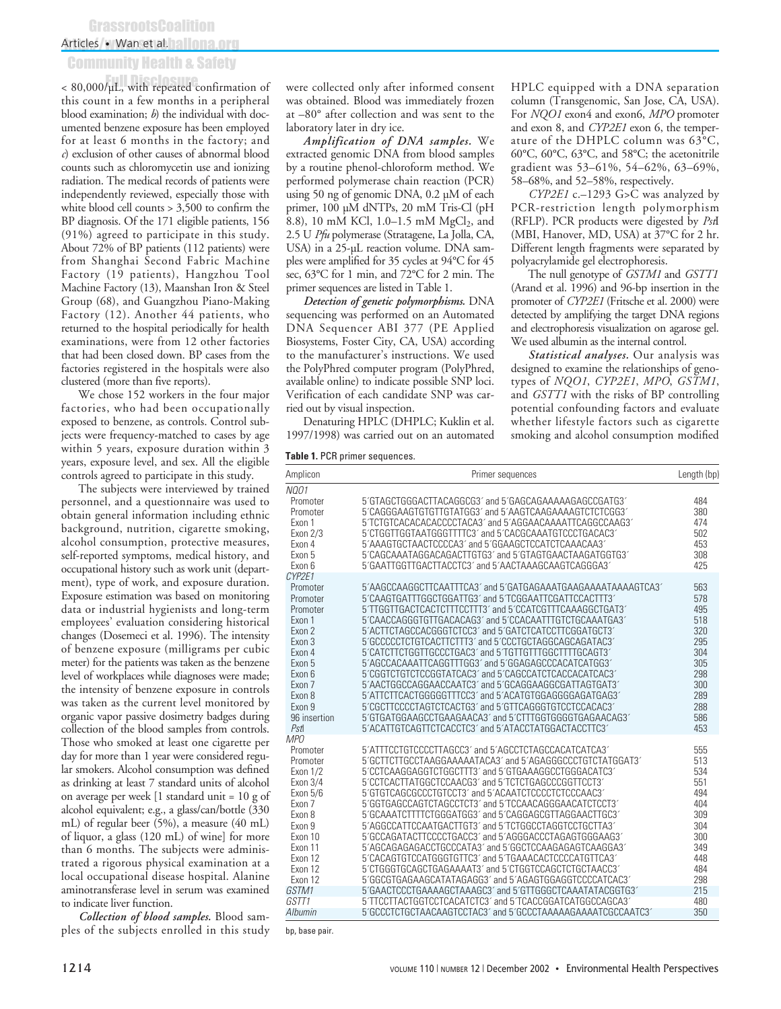## **GrassrootsCoalition**

### Articles • Wan et al. 12 June 100

## Community Health & Safety

 $< 80,000/\mu L$ , with repeated confirmation of this count in a few months in a peripheral blood examination; *b*) the individual with documented benzene exposure has been employed for at least 6 months in the factory; and *c*) exclusion of other causes of abnormal blood counts such as chloromycetin use and ionizing radiation. The medical records of patients were independently reviewed, especially those with white blood cell counts > 3,500 to confirm the BP diagnosis. Of the 171 eligible patients, 156 (91%) agreed to participate in this study. About 72% of BP patients (112 patients) were from Shanghai Second Fabric Machine Factory (19 patients), Hangzhou Tool Machine Factory (13), Maanshan Iron & Steel Group (68), and Guangzhou Piano-Making Factory (12). Another 44 patients, who returned to the hospital periodically for health examinations, were from 12 other factories that had been closed down. BP cases from the factories registered in the hospitals were also clustered (more than five reports).

We chose 152 workers in the four major factories, who had been occupationally exposed to benzene, as controls. Control subjects were frequency-matched to cases by age within 5 years, exposure duration within 3 years, exposure level, and sex. All the eligible controls agreed to participate in this study.

The subjects were interviewed by trained personnel, and a questionnaire was used to obtain general information including ethnic background, nutrition, cigarette smoking, alcohol consumption, protective measures, self-reported symptoms, medical history, and occupational history such as work unit (department), type of work, and exposure duration. Exposure estimation was based on monitoring data or industrial hygienists and long-term employees' evaluation considering historical changes (Dosemeci et al. 1996). The intensity of benzene exposure (milligrams per cubic meter) for the patients was taken as the benzene level of workplaces while diagnoses were made; the intensity of benzene exposure in controls was taken as the current level monitored by organic vapor passive dosimetry badges during collection of the blood samples from controls. Those who smoked at least one cigarette per day for more than 1 year were considered regular smokers. Alcohol consumption was defined as drinking at least 7 standard units of alcohol on average per week [1 standard unit = 10 g of alcohol equivalent; e.g., a glass/can/bottle (330 mL) of regular beer (5%), a measure (40 mL) of liquor, a glass (120 mL) of wine] for more than 6 months. The subjects were administrated a rigorous physical examination at a local occupational disease hospital. Alanine aminotransferase level in serum was examined to indicate liver function.

*Collection of blood samples.* Blood samples of the subjects enrolled in this study were collected only after informed consent was obtained. Blood was immediately frozen at –80° after collection and was sent to the laboratory later in dry ice.

*Amplification of DNA samples.* We extracted genomic DNA from blood samples by a routine phenol-chloroform method. We performed polymerase chain reaction (PCR) using 50 ng of genomic DNA, 0.2 µM of each primer, 100 µM dNTPs, 20 mM Tris-Cl (pH 8.8), 10 mM KCl, 1.0–1.5 mM  $MgCl<sub>2</sub>$ , and 2.5 U *Pfu* polymerase (Stratagene, La Jolla, CA, USA) in a 25-µL reaction volume. DNA samples were amplified for 35 cycles at 94°C for 45 sec, 63°C for 1 min, and 72°C for 2 min. The primer sequences are listed in Table 1.

*Detection of genetic polymorphisms.* DNA sequencing was performed on an Automated DNA Sequencer ABI 377 (PE Applied Biosystems, Foster City, CA, USA) according to the manufacturer's instructions. We used the PolyPhred computer program (PolyPhred, available online) to indicate possible SNP loci. Verification of each candidate SNP was carried out by visual inspection.

Denaturing HPLC (DHPLC; Kuklin et al. 1997/1998) was carried out on an automated

#### **Table 1.** PCR primer sequences.

HPLC equipped with a DNA separation column (Transgenomic, San Jose, CA, USA). For *NQO1* exon4 and exon6, *MPO* promoter and exon 8, and *CYP2E1* exon 6, the temperature of the DHPLC column was 63°C, 60°C, 60°C, 63°C, and 58°C; the acetonitrile gradient was 53–61%, 54–62%, 63–69%, 58–68%, and 52–58%, respectively.

*CYP2E1* c.–1293 G>C was analyzed by PCR-restriction length polymorphism (RFLP). PCR products were digested by *Pst*I (MBI, Hanover, MD, USA) at 37°C for 2 hr. Different length fragments were separated by polyacrylamide gel electrophoresis.

The null genotype of *GSTM1* and *GSTT1* (Arand et al. 1996) and 96-bp insertion in the promoter of *CYP2E1* (Fritsche et al. 2000) were detected by amplifying the target DNA regions and electrophoresis visualization on agarose gel. We used albumin as the internal control.

*Statistical analyses.* Our analysis was designed to examine the relationships of genotypes of *NQO1*, *CYP2E1*, *MPO*, *GSTM1*, and *GSTT1* with the risks of BP controlling potential confounding factors and evaluate whether lifestyle factors such as cigarette smoking and alcohol consumption modified

| Amplicon             | Primer sequences                                                                                                  | Length (bp) |
|----------------------|-------------------------------------------------------------------------------------------------------------------|-------------|
| <b>NQ01</b>          |                                                                                                                   |             |
| Promoter             | 5'GTAGCTGGGACTTACAGGCG3' and 5'GAGCAGAAAAAGAGCCGATG3'                                                             | 484         |
| Promoter             | 5'CAGGGAAGTGTGTTGTATGG3' and 5'AAGTCAAGAAAAGTCTCTCGG3'                                                            | 380         |
| Exon 1               | 5'TCTGTCACACACACCCCTACA3' and 5'AGGAACAAAATTCAGGCCAAG3'                                                           | 474         |
| Exon 2/3             | 5'CTGGTTGGTAATGGGTTTTC3' and 5'CACGCAAATGTCCCTGACAC3'                                                             | 502         |
| Exon 4               | 5'AAAGTGCTAACTCCCCA3' and 5'GGAAGCTCCATCTCAAACAA3'                                                                | 453         |
| Exon 5               | 5'CAGCAAATAGGACAGACTTGTG3' and 5'GTAGTGAACTAAGATGGTG3'                                                            | 308         |
| Exon 6               | 5'GAATTGGTTGACTTACCTC3' and 5'AACTAAAGCAAGTCAGGGA3'                                                               | 425         |
| CYP2E1               |                                                                                                                   |             |
| Promoter             | 5'AAGCCAAGGCTTCAATTTCA3' and 5'GATGAGAAATGAAGAAAATAAAAGTCA3'                                                      | 563         |
| Promoter             | 5'CAAGTGATTTGGCTGGATTG3' and 5'TCGGAATTCGATTCCACTTT3'                                                             | 578         |
| Promoter             | 5'TTGGTTGACTCACTCTTTCCTTT3' and 5'CCATCGTTTCAAAGGCTGAT3'                                                          | 495         |
| Exon 1               | 5'CAACCAGGGTGTTGACACAG3' and 5'CCACAATTTGTCTGCAAATGA3'                                                            | 518         |
| Exon 2               | 5'ACTTCTAGCCACGGGTCTCC3' and 5'GATCTCATCCTTCGGATGCT3'                                                             | 320         |
| Exon 3               | 5'GCCCCCTCTGTCACTTCTTT3' and 5'CCCTGCTAGGCAGCAGATAC3'                                                             | 295         |
| Exon 4               | 5 CATCTTCTGGTTGCCCTGAC3' and 5 TGTTGTTTGGCTTTTGCAGT3'                                                             | 304         |
| Exon 5               | 5'AGCCACAAATTCAGGTTTGG3' and 5'GGAGAGCCCACATCATGG3'                                                               | 305         |
| Exon 6               | 5'CGGTCTGTCTCCGGTATCAC3' and 5'CAGCCATCTCACCACATCAC3'                                                             | 298         |
| Exon 7               | 5'AACTGGCCAGGAACCAATC3' and 5'GCAGGAAGGCGATTAGTGAT3'                                                              | 300         |
| Exon 8               | 5'ATTCTTCACTGGGGGTTTCC3' and 5'ACATGTGGAGGGGAGATGAG3'                                                             | 289         |
| Exon 9               | 5'CGCTTCCCCTAGTCTCACTG3' and 5'GTTCAGGGTGTCCTCCACAC3'                                                             | 288         |
| 96 insertion         | 5'GTGATGGAAGCCTGAAGAACA3' and 5'CTTTGGTGGGGTGAGAACAG3'                                                            | 586         |
| Pst                  | 5'ACATTGTCAGTTCTCACCTC3' and 5'ATACCTATGGACTACCTTC3'                                                              | 453         |
| <b>MPO</b>           |                                                                                                                   |             |
| Promoter             | 5'ATTTCCTGTCCCCTTAGCC3' and 5'AGCCTCTAGCCACATCATCA3'<br>5'GCTTCTTGCCTAAGGAAAAATACA3' and 5'AGAGGGCCCTGTCTATGGAT3' | 555<br>513  |
| Promoter             | 5'CCTCAAGGAGGTCTGGCTTT3' and 5'GTGAAAGGCCTGGGACATC3'                                                              | 534         |
| <b>Exon 1/2</b>      | 5'CCTCACTTATGGCTCCAACG3' and 5'TCTCTGAGCCCGGTTCCT3'                                                               | 551         |
| Exon 3/4<br>Exon 5/6 | 5'GTGTCAGCGCCCTGTCCT3' and 5'ACAATCTCCCCTCTCCCAAC3'                                                               | 494         |
| Exon 7               | 5'GGTGAGCCAGTCTAGCCTCT3' and 5'TCCAACAGGGAACATCTCCT3'                                                             | 404         |
| Exon 8               | 5'GCAAATCTTTTCTGGGATGG3' and 5'CAGGAGCGTTAGGAACTTGC3'                                                             | 309         |
| Exon 9               | 5'AGGCCATTCCAATGACTTGT3' and 5'TCTGGCCTAGGTCCTGCTTA3'                                                             | 304         |
| Exon 10              | 5'GCCAGATACTTCCCCTGACC3' and 5'AGGGACCCTAGAGTGGGAAG3'                                                             | 300         |
| Exon 11              | 5'AGCAGAGAGACCTGCCCATA3' and 5'GGCTCCAAGAGAGTCAAGGA3'                                                             | 349         |
| Exon 12              | 5'CACAGTGTCCATGGGTGTTC3' and 5'TGAAACACTCCCCATGTTCA3'                                                             | 448         |
| Exon 12              | 5'CTGGGTGCAGCTGAGAAAAT3' and 5'CTGGTCCAGCTCTGCTAACC3'                                                             | 484         |
| Exon 12              | 5'GGCGTGAGAAGCATATAGAGG3' and 5'AGAGTGGAGGTCCCCATCAC3'                                                            | 298         |
| GSTM1                | 5'GAACTCCCTGAAAAGCTAAAGC3' and 5'GTTGGGCTCAAATATACGGTG3'                                                          | 215         |
| GSTT1                | 5'TTCCTTACTGGTCCTCACATCTC3' and 5'TCACCGGATCATGGCCAGCA3'                                                          | 480         |
| Albumin              | 5'GCCCTCTGCTAACAAGTCCTAC3' and 5'GCCCTAAAAAGAAAATCGCCAATC3'                                                       | 350         |
|                      |                                                                                                                   |             |

bp, base pair.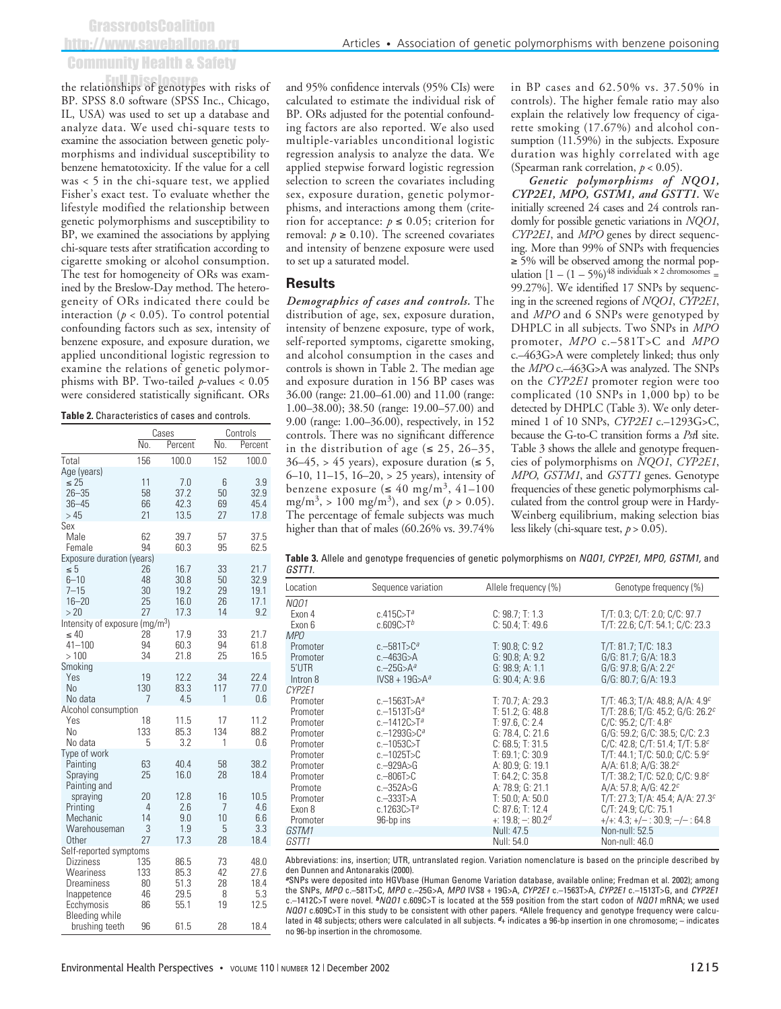GrassrootsCoalition http://www.saveballona.org Community Health & Safety

the relationships of genotypes with risks of BP. SPSS 8.0 software (SPSS Inc., Chicago, IL, USA) was used to set up a database and analyze data. We used chi-square tests to examine the association between genetic polymorphisms and individual susceptibility to benzene hematotoxicity. If the value for a cell was < 5 in the chi-square test, we applied Fisher's exact test. To evaluate whether the lifestyle modified the relationship between genetic polymorphisms and susceptibility to BP, we examined the associations by applying chi-square tests after stratification according to cigarette smoking or alcohol consumption. The test for homogeneity of ORs was examined by the Breslow-Day method. The heterogeneity of ORs indicated there could be interaction ( $p < 0.05$ ). To control potential confounding factors such as sex, intensity of benzene exposure, and exposure duration, we applied unconditional logistic regression to examine the relations of genetic polymorphisms with BP. Two-tailed *p*-values < 0.05 were considered statistically significant. ORs

#### **Table 2.** Characteristics of cases and controls.

|                                            |         | Cases      | Controls |            |
|--------------------------------------------|---------|------------|----------|------------|
|                                            | No.     | Percent    | No.      | Percent    |
| Total                                      | 156     | 100.0      | 152      | 100.0      |
| Age (years)                                |         |            |          |            |
| ≤ 25                                       | 11      | 7.0        | 6        | 3.9        |
| $26 - 35$                                  | 58      | 37.2       | 50       | 32.9       |
| $36 - 45$                                  | 66      | 42.3       | 69       | 45.4       |
| >45                                        | 21      | 13.5       | 27       | 17.8       |
| Sex<br>Male                                | 62      | 39.7       | 57       | 37.5       |
| Female                                     | 94      | 60.3       | 95       | 62.5       |
| Exposure duration (years)                  |         |            |          |            |
| ≤5                                         | 26      | 16.7       | 33       | 21.7       |
| $6 - 10$                                   | 48      | 30.8       | 50       | 32.9       |
| $7 - 15$                                   | 30      | 19.2       | 29       | 19.1       |
| $16 - 20$                                  | 25      | 16.0       | 26       | 17.1       |
| > 20                                       | 27      | 17.3       | 14       | 9.2        |
| Intensity of exposure (mg/m <sup>3</sup> ) |         |            |          |            |
| $\leq 40$                                  | 28      | 17.9       | 33       | 21.7       |
| $41 - 100$                                 | 94      | 60.3       | 94       | 61.8       |
| >100                                       | 34      | 21.8       | 25       | 16.5       |
| Smoking<br>Yes                             | 19      | 12.2       | 34       | 22.4       |
| No                                         | 130     | 83.3       | 117      | 77.0       |
| No data                                    | 7       | 4.5        | 1        | 0.6        |
| Alcohol consumption                        |         |            |          |            |
| Yes                                        | 18      | 11.5       | 17       | 11.2       |
| No                                         | 133     | 85.3       | 134      | 88.2       |
| No data                                    | 5       | 3.2        | 1        | 0.6        |
| Type of work                               |         |            |          |            |
| Painting                                   | 63      | 40.4       | 58       | 38.2       |
| Spraying                                   | 25      | 16.0       | 28       | 18.4       |
| Painting and                               |         |            |          |            |
| spraying                                   | 20      | 12.8       | 16       | 10.5       |
| Printing                                   | 4<br>14 | 2.6        | 7        | 4.6        |
| Mechanic                                   | 3       | 9.0<br>1.9 | 10<br>5  | 6.6<br>3.3 |
| Warehouseman<br>Other                      | 27      | 17.3       | 28       | 18.4       |
| Self-reported symptoms                     |         |            |          |            |
| <b>Dizziness</b>                           | 135     | 86.5       | 73       | 48.0       |
| Weariness                                  | 133     | 85.3       | 42       | 27.6       |
| Dreaminess                                 | 80      | 51.3       | 28       | 18.4       |
| Inappetence                                | 46      | 29.5       | 8        | 5.3        |
| Ecchymosis                                 | 86      | 55.1       | 19       | 12.5       |
| Bleeding while                             |         |            |          |            |
| brushing teeth                             | 96      | 61.5       | 28       | 18.4       |

and 95% confidence intervals (95% CIs) were calculated to estimate the individual risk of BP. ORs adjusted for the potential confounding factors are also reported. We also used multiple-variables unconditional logistic regression analysis to analyze the data. We applied stepwise forward logistic regression selection to screen the covariates including sex, exposure duration, genetic polymorphisms, and interactions among them (criterion for acceptance:  $p \le 0.05$ ; criterion for removal:  $p \ge 0.10$ ). The screened covariates and intensity of benzene exposure were used to set up a saturated model.

#### **Results**

*Demographics of cases and controls.* The distribution of age, sex, exposure duration, intensity of benzene exposure, type of work, self-reported symptoms, cigarette smoking, and alcohol consumption in the cases and controls is shown in Table 2. The median age and exposure duration in 156 BP cases was 36.00 (range: 21.00–61.00) and 11.00 (range: 1.00–38.00); 38.50 (range: 19.00–57.00) and 9.00 (range: 1.00–36.00), respectively, in 152 controls. There was no significant difference in the distribution of age ( $\leq$  25, 26–35,  $36-45$ , > 45 years), exposure duration ( $\leq 5$ , 6–10, 11–15, 16–20, > 25 years), intensity of benzene exposure ( $\leq 40$  mg/m<sup>3</sup>, 41-100 mg/m<sup>3</sup>, > 100 mg/m<sup>3</sup>), and sex ( $p > 0.05$ ). The percentage of female subjects was much higher than that of males (60.26% vs. 39.74%)

in BP cases and 62.50% vs. 37.50% in controls). The higher female ratio may also explain the relatively low frequency of cigarette smoking (17.67%) and alcohol consumption (11.59%) in the subjects. Exposure duration was highly correlated with age (Spearman rank correlation, *p* < 0.05).

*Genetic polymorphisms of NQO1, CYP2E1, MPO, GSTM1, and GSTT1.* We initially screened 24 cases and 24 controls randomly for possible genetic variations in *NQO1*, *CYP2E1*, and *MPO* genes by direct sequencing. More than 99% of SNPs with frequencies ≥ 5% will be observed among the normal population  $[1 - (1 - 5\%)$ <sup>48</sup> individuals  $\times$  2 chromosomes = 99.27%]. We identified 17 SNPs by sequencing in the screened regions of *NQO1*, *CYP2E1*, and *MPO* and 6 SNPs were genotyped by DHPLC in all subjects. Two SNPs in *MPO* promoter, *MPO* c.–581T>C and *MPO* c.–463G>A were completely linked; thus only the *MPO* c.–463G>A was analyzed. The SNPs on the *CYP2E1* promoter region were too complicated (10 SNPs in 1,000 bp) to be detected by DHPLC (Table 3). We only determined 1 of 10 SNPs, *CYP2E1* c.–1293G>C, because the G-to-C transition forms a *Pst*I site. Table 3 shows the allele and genotype frequencies of polymorphisms on *NQO1*, *CYP2E1*, *MPO*, *GSTM1*, and *GSTT1* genes. Genotype frequencies of these genetic polymorphisms calculated from the control group were in Hardy-Weinberg equilibrium, making selection bias less likely (chi-square test, *p* > 0.05).

**Table 3.** Allele and genotype frequencies of genetic polymorphisms on *NQO1, CYP2E1, MPO, GSTM1,* and *GSTT1.*

| ,,,,,,                                                                                                                                                       |                                                                                                                                                                                                                                                       |                                                                                                                                                                                                                                                              |                                                                                                                                                                                                                                                                                                                                                                                                                                                                                                 |
|--------------------------------------------------------------------------------------------------------------------------------------------------------------|-------------------------------------------------------------------------------------------------------------------------------------------------------------------------------------------------------------------------------------------------------|--------------------------------------------------------------------------------------------------------------------------------------------------------------------------------------------------------------------------------------------------------------|-------------------------------------------------------------------------------------------------------------------------------------------------------------------------------------------------------------------------------------------------------------------------------------------------------------------------------------------------------------------------------------------------------------------------------------------------------------------------------------------------|
| Location                                                                                                                                                     | Sequence variation                                                                                                                                                                                                                                    | Allele frequency (%)                                                                                                                                                                                                                                         | Genotype frequency (%)                                                                                                                                                                                                                                                                                                                                                                                                                                                                          |
| <b>NQ01</b><br>Exon 4<br>Exon 6                                                                                                                              | c.415 $C > T^a$<br>c.609C>T <sup>b</sup>                                                                                                                                                                                                              | C: 98.7; T: 1.3<br>C: 50.4; T: 49.6                                                                                                                                                                                                                          | T/T: 0.3; C/T: 2.0; C/C: 97.7<br>T/T: 22.6; C/T: 54.1; C/C: 23.3                                                                                                                                                                                                                                                                                                                                                                                                                                |
| <i>MPO</i><br>Promoter<br>Promoter<br>5'UTR<br>Intron 8                                                                                                      | $c. -581T > C^a$<br>$c - 463G > A$<br>$c - 25G > A^a$<br>$IVS8 + 19G > A^a$                                                                                                                                                                           | T: 90.8; C: 9.2<br>G: 90.8; A: 9.2<br>G: 98.9: A: 1.1<br>G: 90.4; A: 9.6                                                                                                                                                                                     | T/T: 81.7; T/C: 18.3<br>G/G: 81.7; G/A: 18.3<br>G/G: 97.8; G/A: 2.2 <sup>c</sup><br>G/G: 80.7; G/A: 19.3                                                                                                                                                                                                                                                                                                                                                                                        |
| CYP2E1<br>Promoter<br>Promoter<br>Promoter<br>Promoter<br>Promoter<br>Promoter<br>Promoter<br>Promoter<br>Promote<br>Promoter<br>Exon 8<br>Promoter<br>GSTM1 | c. $-1563$ T $>$ A <sup>a</sup><br>c. $-1513T > Ga$<br>$c - 1412C > T^a$<br>$c - 1293G > C^a$<br>$c - 1053C > T$<br>$c - 1025T > C$<br>$c - 929A > G$<br>$c - 806$ T $>$ C<br>$c - 352A > G$<br>$c - 333T > A$<br>c.1263C>T <sup>a</sup><br>96-bp ins | T: 70.7: A: 29.3<br>T: 51.2; G: 48.8<br>T: 97.6. C: 2.4<br>G: 78.4. C: 21.6<br>C: 68.5; T: 31.5<br>T: 69.1; C: 30.9<br>A: 80.9: G: 19.1<br>T: 64.2; C: 35.8<br>A: 78.9: G: 21.1<br>T: 50.0: A: 50.0<br>C: 87.6; T: 12.4<br>$+: 19.8: -: 80.2d$<br>Null: 47.5 | T/T: 46.3; T/A: 48.8; A/A: 4.9 $c$<br>T/T: 28.6; T/G: 45.2; G/G: 26.2 <sup>c</sup><br>C/C: 95.2: C/T: 4.8 <sup>c</sup><br>G/G: 59.2; G/C: 38.5; C/C: 2.3<br>C/C: 42.8; C/T: 51.4; T/T: 5.8 $c$<br>T/T: 44.1; T/C: 50.0; C/C: 5.9 <sup>c</sup><br>A/A: 61.8: A/G: 38.2 $c$<br>T/T: 38.2; T/C: 52.0; C/C: 9.8 $c$<br>$A/A$ : 57.8: $A/G$ : 42.2 <sup>c</sup><br>T/T: 27.3; T/A: 45.4; A/A: 27.3 <sup>c</sup><br>C/T: 24.9; C/C: 75.1<br>$+/-$ : 4.3; $+/-$ : 30.9; $-/-$ : 64.8<br>Non-null: 52.5 |
| GSTT1                                                                                                                                                        |                                                                                                                                                                                                                                                       | Null: 54.0                                                                                                                                                                                                                                                   | Non-null: 46.0                                                                                                                                                                                                                                                                                                                                                                                                                                                                                  |

Abbreviations: ins, insertion; UTR, untranslated region. Variation nomenclature is based on the principle described by den Dunnen and Antonarakis (2000).

*<sup>a</sup>*SNPs were deposited into HGVbase (Human Genome Variation database, available online; Fredman et al. 2002); among the SNPs, *MPO* c.–581T>C, *MPO* c.–25G>A, *MPO* IVS8 + 19G>A, *CYP2E1* c.–1563T>A, *CYP2E1* c.–1513T>G, and *CYP2E1* c.–1412C>T were novel. *bNQO1* c.609C>T is located at the 559 position from the start codon of *NQO1* mRNA; we used *NQO1* c.609C>T in this study to be consistent with other papers. *c*Allele frequency and genotype frequency were calculated in 48 subjects; others were calculated in all subjects. *d*+ indicates a 96-bp insertion in one chromosome; – indicates no 96-bp insertion in the chromosome.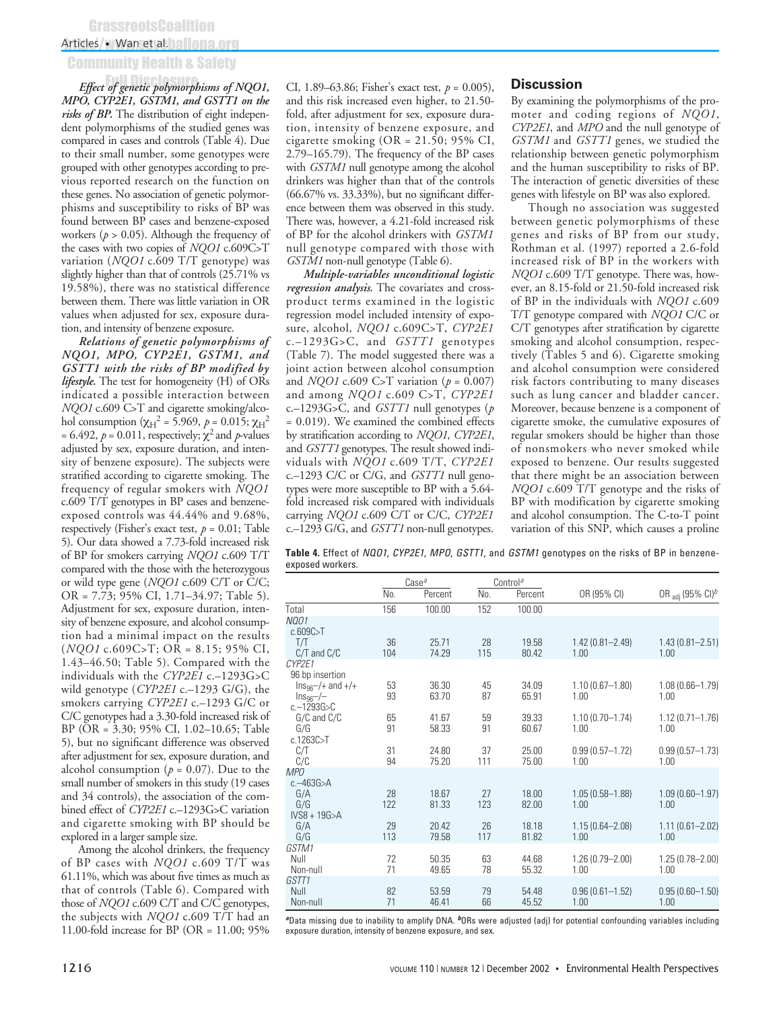### Articles • Wan et al. 12 June 100

## Community Health & Safety

*Effect of genetic polymorphisms of NQO1,* Full Disclosure*MPO, CYP2E1, GSTM1, and GSTT1 on the risks of BP.* The distribution of eight independent polymorphisms of the studied genes was compared in cases and controls (Table 4). Due to their small number, some genotypes were grouped with other genotypes according to previous reported research on the function on these genes. No association of genetic polymorphisms and susceptibility to risks of BP was found between BP cases and benzene-exposed workers ( $p > 0.05$ ). Although the frequency of the cases with two copies of *NQO1* c.609C>T variation (*NQO1* c.609 T/T genotype) was slightly higher than that of controls (25.71% vs 19.58%), there was no statistical difference between them. There was little variation in OR values when adjusted for sex, exposure duration, and intensity of benzene exposure.

*Relations of genetic polymorphisms of NQO1, MPO, CYP2E1, GSTM1, and GSTT1 with the risks of BP modified by lifestyle.* The test for homogeneity (H) of ORs indicated a possible interaction between *NQO1* c.609 C>T and cigarette smoking/alcohol consumption (χ<sub>H</sub><sup>2</sup> = 5.969, *p* = 0.015; χ<sub>H</sub><sup>2</sup> = 6.492,  $p = 0.011$ , respectively;  $\chi^2$  and *p*-values adjusted by sex, exposure duration, and intensity of benzene exposure). The subjects were stratified according to cigarette smoking. The frequency of regular smokers with *NQO1* c.609 T/T genotypes in BP cases and benzeneexposed controls was 44.44% and 9.68%, respectively (Fisher's exact test,  $p = 0.01$ ; Table 5). Our data showed a 7.73-fold increased risk of BP for smokers carrying *NQO1* c.609 T/T compared with the those with the heterozygous or wild type gene (*NQO1* c.609 C/T or C/C; OR = 7.73; 95% CI, 1.71–34.97; Table 5). Adjustment for sex, exposure duration, intensity of benzene exposure, and alcohol consumption had a minimal impact on the results (*NQO1* c.609C>T; OR = 8.15; 95% CI, 1.43–46.50; Table 5). Compared with the individuals with the *CYP2E1* c.–1293G>C wild genotype (*CYP2E1* c.–1293 G/G), the smokers carrying *CYP2E1* c.–1293 G/C or C/C genotypes had a 3.30-fold increased risk of BP (OR = 3.30; 95% CI, 1.02–10.65; Table 5), but no significant difference was observed after adjustment for sex, exposure duration, and alcohol consumption ( $p = 0.07$ ). Due to the small number of smokers in this study (19 cases and 34 controls), the association of the combined effect of *CYP2E1* c.–1293G>C variation and cigarette smoking with BP should be explored in a larger sample size.

Among the alcohol drinkers, the frequency of BP cases with *NQO1* c.609 T/T was 61.11%, which was about five times as much as that of controls (Table 6). Compared with those of *NQO1* c.609 C/T and C/C genotypes, the subjects with *NQO1* c.609 T/T had an 11.00-fold increase for BP (OR = 11.00; 95%

CI, 1.89–63.86; Fisher's exact test, *p* = 0.005), and this risk increased even higher, to 21.50 fold, after adjustment for sex, exposure duration, intensity of benzene exposure, and cigarette smoking (OR = 21.50; 95% CI, 2.79–165.79). The frequency of the BP cases with *GSTM1* null genotype among the alcohol drinkers was higher than that of the controls (66.67% vs. 33.33%), but no significant difference between them was observed in this study. There was, however, a 4.21-fold increased risk of BP for the alcohol drinkers with *GSTM1* null genotype compared with those with *GSTM1* non-null genotype (Table 6).

*Multiple-variables unconditional logistic regression analysis.* The covariates and crossproduct terms examined in the logistic regression model included intensity of exposure, alcohol, *NQO1* c.609C>T, *CYP2E1* c.–1293G>C, and *GSTT1* genotypes (Table 7). The model suggested there was a joint action between alcohol consumption and *NQO1* c.609 C>T variation (*p* = 0.007) and among *NQO1* c.609 C>T, *CYP2E1* c.–1293G>C, and *GSTT1* null genotypes (*p* = 0.019). We examined the combined effects by stratification according to *NQO1*, *CYP2E1*, and *GSTT1* genotypes. The result showed individuals with *NQO1* c.609 T/T, *CYP2E1* c.–1293 C/C or C/G, and *GSTT1* null genotypes were more susceptible to BP with a 5.64 fold increased risk compared with individuals carrying *NQO1* c.609 C/T or C/C, *CYP2E1* c.–1293 G/G, and *GSTT1* non-null genotypes.

#### **Discussion**

By examining the polymorphisms of the promoter and coding regions of *NQO1*, *CYP2E1*, and *MPO* and the null genotype of *GSTM1* and *GSTT1* genes, we studied the relationship between genetic polymorphism and the human susceptibility to risks of BP. The interaction of genetic diversities of these genes with lifestyle on BP was also explored.

Though no association was suggested between genetic polymorphisms of these genes and risks of BP from our study, Rothman et al. (1997) reported a 2.6-fold increased risk of BP in the workers with *NQO1* c.609 T/T genotype. There was, however, an 8.15-fold or 21.50-fold increased risk of BP in the individuals with *NQO1* c.609 T/T genotype compared with *NQO1* C/C or C/T genotypes after stratification by cigarette smoking and alcohol consumption, respectively (Tables 5 and 6). Cigarette smoking and alcohol consumption were considered risk factors contributing to many diseases such as lung cancer and bladder cancer. Moreover, because benzene is a component of cigarette smoke, the cumulative exposures of regular smokers should be higher than those of nonsmokers who never smoked while exposed to benzene. Our results suggested that there might be an association between *NQO1* c.609 T/T genotype and the risks of BP with modification by cigarette smoking and alcohol consumption. The C-to-T point variation of this SNP, which causes a proline

**Table 4.** Effect of *NQO1*, *CYP2E1*, *MPO*, *GSTT1*, and *GSTM1* genotypes on the risks of BP in benzeneexposed workers.

|                                                                      |           | Case <sup>a</sup> |           | Control <sup>a</sup> |                             |                             |
|----------------------------------------------------------------------|-----------|-------------------|-----------|----------------------|-----------------------------|-----------------------------|
|                                                                      | No.       | Percent           | No.       | Percent              | OR (95% CI)                 | OR adj (95% CI) $b$         |
| Total                                                                | 156       | 100.00            | 152       | 100.00               |                             |                             |
| <b>NQ01</b><br>c.609C > T                                            |           |                   |           |                      |                             |                             |
| T/T<br>$C/T$ and $C/C$                                               | 36<br>104 | 25.71<br>74.29    | 28<br>115 | 19.58<br>80.42       | $1.42(0.81 - 2.49)$<br>1.00 | $1.43(0.81 - 2.51)$<br>1.00 |
| CYP2E1<br>96 bp insertion                                            |           |                   |           |                      |                             |                             |
| $\ln s_{96}$ / + and +/+<br>$\text{Ins}_{96}$ -/-<br>$c - 1293G > C$ | 53<br>93  | 36.30<br>63.70    | 45<br>87  | 34.09<br>65.91       | $1.10(0.67 - 1.80)$<br>1.00 | $1.08(0.66 - 1.79)$<br>1.00 |
| G/C and C/C<br>G/G<br>c.1263C > T                                    | 65<br>91  | 41.67<br>58.33    | 59<br>91  | 39.33<br>60.67       | $1.10(0.70 - 1.74)$<br>1.00 | $1.12(0.71 - 1.76)$<br>1.00 |
| C/T<br>C/C                                                           | 31<br>94  | 24.80<br>75.20    | 37<br>111 | 25.00<br>75.00       | $0.99(0.57 - 1.72)$<br>1.00 | $0.99(0.57 - 1.73)$<br>1.00 |
| <b>MPO</b>                                                           |           |                   |           |                      |                             |                             |
| $c. - 463G > A$<br>G/A<br>G/G                                        | 28<br>122 | 18.67<br>81.33    | 27<br>123 | 18.00<br>82.00       | $1.05(0.58 - 1.88)$<br>1.00 | $1.09(0.60 - 1.97)$<br>1.00 |
| $IVS8 + 19G > A$<br>G/A<br>G/G                                       | 29<br>113 | 20.42<br>79.58    | 26<br>117 | 18.18<br>81.82       | $1.15(0.64 - 2.08)$<br>1.00 | $1.11(0.61 - 2.02)$<br>1.00 |
| GSTM1<br>Null<br>Non-null                                            | 72<br>71  | 50.35<br>49.65    | 63<br>78  | 44.68<br>55.32       | 1.26 (0.79-2.00)<br>1.00    | $1.25(0.78 - 2.00)$<br>1.00 |
| GSTT1<br>Null<br>Non-null                                            | 82<br>71  | 53.59<br>46.41    | 79<br>66  | 54.48<br>45.52       | $0.96(0.61 - 1.52)$<br>1.00 | $0.95(0.60 - 1.50)$<br>1.00 |

*<sup>a</sup>*Data missing due to inability to amplify DNA. *b*ORs were adjusted (adj) for potential confounding variables including exposure duration, intensity of benzene exposure, and sex.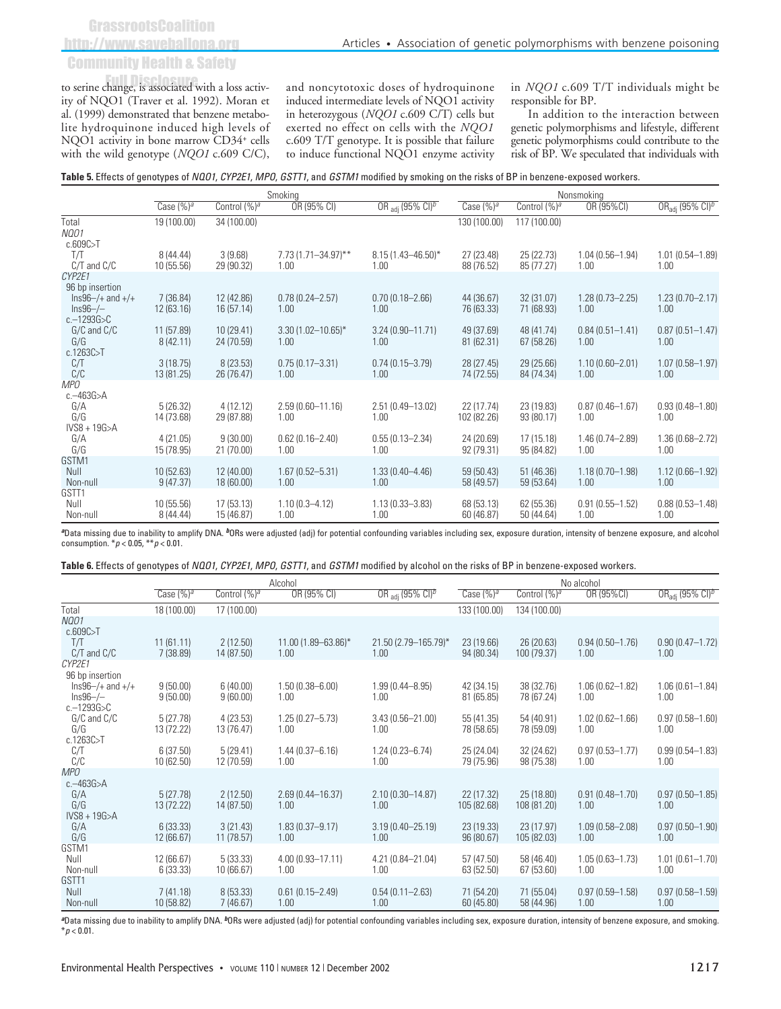**GrassrootsCoalition** 

# http://www.saveballona.org

# Community Health & Safety

to serine change, is associated with a loss activity of NQO1 (Traver et al. 1992). Moran et al. (1999) demonstrated that benzene metabolite hydroquinone induced high levels of NQO1 activity in bone marrow CD34<sup>+</sup> cells with the wild genotype (*NQO1* c.609 C/C),

and noncytotoxic doses of hydroquinone induced intermediate levels of NQO1 activity in heterozygous (*NQO1* c.609 C/T) cells but exerted no effect on cells with the *NQO1* c.609 T/T genotype. It is possible that failure to induce functional NQO1 enzyme activity

in *NQO1* c.609 T/T individuals might be responsible for BP.

In addition to the interaction between genetic polymorphisms and lifestyle, different genetic polymorphisms could contribute to the risk of BP. We speculated that individuals with

| Table 5. Effects of genotypes of NQO1, CYP2E1, MPO, GSTT1, and GSTM1 modified by smoking on the risks of BP in benzene-exposed workers. |  |  |
|-----------------------------------------------------------------------------------------------------------------------------------------|--|--|
|-----------------------------------------------------------------------------------------------------------------------------------------|--|--|

|                                                                                          | Smoking                 |                          |                                 |                                  | Nonsmoking                |                          |                             |                             |
|------------------------------------------------------------------------------------------|-------------------------|--------------------------|---------------------------------|----------------------------------|---------------------------|--------------------------|-----------------------------|-----------------------------|
|                                                                                          | Case $(%)a$             | Control (%) <sup>a</sup> | OR (95% CI)                     | OR adj (95% CI) <sup>b</sup>     | Case $(%)a$               | Control (%) <sup>a</sup> | OR (95%CI)                  | ORadj (95% CI) $b$          |
| Total<br><b>NQ01</b><br>c.609C > T                                                       | 19 (100.00)             | 34 (100.00)              |                                 |                                  | 130 (100.00)              | 117 (100.00)             |                             |                             |
| T/T<br>C/T and C/C                                                                       | 8(44.44)<br>10 (55.56)  | 3(9.68)<br>29 (90.32)    | $7.73(1.71 - 34.97)$ **<br>1.00 | $8.15(1.43 - 46.50)^{*}$<br>1.00 | 27 (23.48)<br>88 (76.52)  | 25 (22.73)<br>85 (77.27) | $1.04(0.56 - 1.94)$<br>1.00 | $1.01(0.54 - 1.89)$<br>1.00 |
| CYP2E1<br>96 bp insertion<br>$\ln s96 -/+$ and $+/+$<br>$Ins96 - / -$<br>$c - 1293G > C$ | 7 (36.84)<br>12 (63.16) | 12 (42.86)<br>16(57.14)  | $0.78(0.24 - 2.57)$<br>1.00     | $0.70(0.18 - 2.66)$<br>1.00      | 44 (36.67)<br>76 (63.33)  | 32 (31.07)<br>71 (68.93) | $1.28(0.73 - 2.25)$<br>1.00 | $1.23(0.70 - 2.17)$<br>1.00 |
| G/C and C/C<br>G/G<br>c.1263C > T                                                        | 11 (57.89)<br>8(42.11)  | 10(29.41)<br>24 (70.59)  | $3.30(1.02 - 10.65)^*$<br>1.00  | $3.24(0.90 - 11.71)$<br>1.00     | 49 (37.69)<br>81 (62.31)  | 48 (41.74)<br>67 (58.26) | $0.84(0.51 - 1.41)$<br>1.00 | $0.87(0.51 - 1.47)$<br>1.00 |
| C/T<br>C/C                                                                               | 3(18.75)<br>13 (81.25)  | 8(23.53)<br>26 (76.47)   | $0.75(0.17 - 3.31)$<br>1.00     | $0.74(0.15 - 3.79)$<br>1.00      | 28 (27.45)<br>74 (72.55)  | 29 (25.66)<br>84 (74.34) | $1.10(0.60 - 2.01)$<br>1.00 | $1.07(0.58 - 1.97)$<br>1.00 |
| <b>MPO</b><br>$c.-463G>A$                                                                |                         |                          |                                 |                                  |                           |                          |                             |                             |
| G/A<br>G/G<br>$IVS8 + 19G > A$                                                           | 5(26.32)<br>14 (73.68)  | 4(12.12)<br>29 (87.88)   | $2.59(0.60 - 11.16)$<br>1.00    | 2.51 (0.49-13.02)<br>1.00        | 22 (17.74)<br>102 (82.26) | 23 (19.83)<br>93 (80.17) | $0.87(0.46 - 1.67)$<br>1.00 | $0.93(0.48 - 1.80)$<br>1.00 |
| G/A<br>G/G                                                                               | 4(21.05)<br>15 (78.95)  | 9(30.00)<br>21 (70.00)   | $0.62(0.16 - 2.40)$<br>1.00     | $0.55(0.13 - 2.34)$<br>1.00      | 24 (20.69)<br>92 (79.31)  | 17 (15.18)<br>95 (84.82) | $1.46(0.74 - 2.89)$<br>1.00 | $1.36(0.68 - 2.72)$<br>1.00 |
| GSTM1<br>Null<br>Non-null                                                                | 10 (52.63)<br>9(47.37)  | 12 (40.00)<br>18(60.00)  | $1.67(0.52 - 5.31)$<br>1.00     | $1.33(0.40 - 4.46)$<br>1.00      | 59 (50.43)<br>58 (49.57)  | 51 (46.36)<br>59 (53.64) | $1.18(0.70 - 1.98)$<br>1.00 | $1.12(0.66 - 1.92)$<br>1.00 |
| GSTT1<br>Null<br>Non-null                                                                | 10 (55.56)<br>8(44.44)  | 17(53.13)<br>15 (46.87)  | $1.10(0.3 - 4.12)$<br>1.00      | $1.13(0.33 - 3.83)$<br>1.00      | 68 (53.13)<br>60 (46.87)  | 62 (55.36)<br>50 (44.64) | $0.91(0.55 - 1.52)$<br>1.00 | $0.88(0.53 - 1.48)$<br>1.00 |

*<sup>a</sup>*Data missing due to inability to amplify DNA. *b*ORs were adjusted (adj) for potential confounding variables including sex, exposure duration, intensity of benzene exposure, and alcohol consumption. \**p* < 0.05, \*\**p* < 0.01.

**Table 6.** Effects of genotypes of *NQO1*, *CYP2E1*, *MPO*, *GSTT1*, and *GSTM1* modified by alcohol on the risks of BP in benzene-exposed workers.

|                                    | Alcohol                |                          |                             | No alcohol                   |                          |                           |                             |                                         |
|------------------------------------|------------------------|--------------------------|-----------------------------|------------------------------|--------------------------|---------------------------|-----------------------------|-----------------------------------------|
|                                    | Case $(\%)^a$          | Control (%) <sup>a</sup> | OR (95% CI)                 | OR adj $(95\% \text{ Cl})^5$ | Case $(%)^a$             | Control (%) <sup>a</sup>  | OR (95%CI)                  | $OR_{\text{adi}}$ (95% CI) <sup>b</sup> |
| Total                              | 18 (100.00)            | 17 (100.00)              |                             |                              | 133 (100.00)             | 134 (100.00)              |                             |                                         |
| <b>NQ01</b>                        |                        |                          |                             |                              |                          |                           |                             |                                         |
| c.609C > T                         |                        |                          |                             |                              |                          |                           |                             |                                         |
| T/T<br>$C/T$ and $C/C$             | 11(61.11)<br>7(38.89)  | 2(12.50)<br>14 (87.50)   | 11.00 (1.89-63.86)*<br>1.00 | 21.50 (2.79-165.79)*<br>1.00 | 23 (19.66)<br>94 (80.34) | 26 (20.63)<br>100 (79.37) | $0.94(0.50 - 1.76)$<br>1.00 | $0.90(0.47 - 1.72)$<br>1.00             |
| CYP2E1                             |                        |                          |                             |                              |                          |                           |                             |                                         |
| 96 bp insertion                    |                        |                          |                             |                              |                          |                           |                             |                                         |
| $\ln s96 -/+$ and $+/+$            | 9(50.00)               | 6(40.00)                 | $1.50(0.38 - 6.00)$         | $1.99(0.44 - 8.95)$          | 42 (34.15)               | 38 (32.76)                | $1.06(0.62 - 1.82)$         | $1.06(0.61 - 1.84)$                     |
| $Ins96 - / -$                      | 9(50.00)               | 9(60.00)                 | 1.00                        | 1.00                         | 81 (65.85)               | 78 (67.24)                | 1.00                        | 1.00                                    |
| $c - 1293G > C$<br>$G/C$ and $C/C$ | 5(27.78)               | 4(23.53)                 | $1.25(0.27 - 5.73)$         | $3.43(0.56 - 21.00)$         | 55 (41.35)               | 54 (40.91)                | $1.02(0.62 - 1.66)$         | $0.97(0.58 - 1.60)$                     |
| G/G                                | 13 (72.22)             | 13 (76.47)               | 1.00                        | 1.00                         | 78 (58.65)               | 78 (59.09)                | 1.00                        | 1.00                                    |
| c.1263C > T                        |                        |                          |                             |                              |                          |                           |                             |                                         |
| C/T                                | 6(37.50)               | 5(29.41)                 | $1.44(0.37 - 6.16)$         | $1.24(0.23 - 6.74)$          | 25 (24.04)               | 32 (24.62)                | $0.97(0.53 - 1.77)$         | $0.99(0.54 - 1.83)$                     |
| C/C                                | 10(62.50)              | 12 (70.59)               | 1.00                        | 1.00                         | 79 (75.96)               | 98 (75.38)                | 1.00                        | 1.00                                    |
| <b>MPO</b>                         |                        |                          |                             |                              |                          |                           |                             |                                         |
| $c - 463G > A$                     |                        |                          |                             |                              |                          |                           |                             |                                         |
| G/A                                | 5(27.78)               | 2(12.50)                 | $2.69(0.44 - 16.37)$        | $2.10(0.30 - 14.87)$         | 22 (17.32)               | 25 (18.80)                | $0.91(0.48 - 1.70)$         | $0.97(0.50 - 1.85)$                     |
| G/G                                | 13 (72.22)             | 14 (87.50)               | 1.00                        | 1.00                         | 105 (82.68)              | 108 (81.20)               | 1.00                        | 1.00                                    |
| $IVS8 + 19G > A$                   |                        |                          |                             |                              |                          |                           |                             |                                         |
| G/A<br>G/G                         | 6(33.33)<br>12 (66.67) | 3(21.43)<br>11(78.57)    | $1.83(0.37 - 9.17)$<br>1.00 | $3.19(0.40 - 25.19)$<br>1.00 | 23 (19.33)<br>96 (80.67) | 23 (17.97)<br>105 (82.03) | $1.09(0.58 - 2.08)$<br>1.00 | $0.97(0.50 - 1.90)$<br>1.00             |
| GSTM1                              |                        |                          |                             |                              |                          |                           |                             |                                         |
| Null                               | 12 (66.67)             | 5(33.33)                 | $4.00(0.93 - 17.11)$        | 4.21 (0.84-21.04)            | 57 (47.50)               | 58 (46.40)                | $1.05(0.63 - 1.73)$         | $1.01(0.61 - 1.70)$                     |
| Non-null                           | 6(33.33)               | 10(66.67)                | 1.00                        | 1.00                         | 63 (52.50)               | 67 (53.60)                | 1.00                        | 1.00                                    |
| GSTT1                              |                        |                          |                             |                              |                          |                           |                             |                                         |
| Null                               | 7(41.18)               | 8(53.33)                 | $0.61(0.15 - 2.49)$         | $0.54(0.11 - 2.63)$          | 71 (54.20)               | 71 (55.04)                | $0.97(0.59 - 1.58)$         | $0.97(0.58 - 1.59)$                     |
| Non-null                           | 10 (58.82)             | 7(46.67)                 | 1.00                        | 1.00                         | 60 (45.80)               | 58 (44.96)                | 1.00                        | 1.00                                    |

*<sup>a</sup>*Data missing due to inability to amplify DNA. *b*ORs were adjusted (adj) for potential confounding variables including sex, exposure duration, intensity of benzene exposure, and smoking.  $*$ *p* < 0.01.